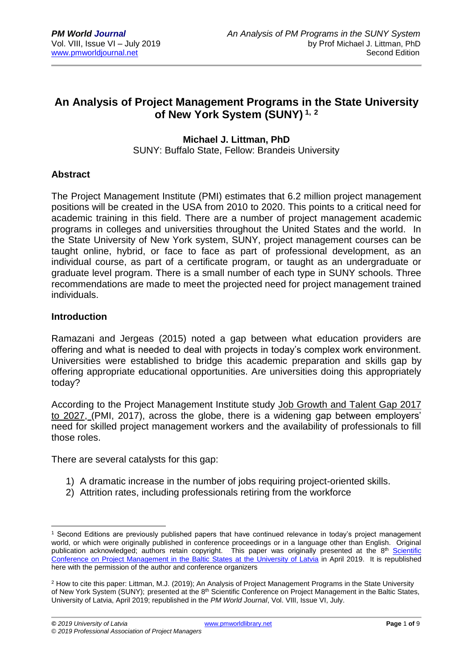## **An Analysis of Project Management Programs in the State University of New York System (SUNY) 1, <sup>2</sup>**

#### **Michael J. Littman, PhD** SUNY: Buffalo State, Fellow: Brandeis University

## **Abstract**

The Project Management Institute (PMI) estimates that 6.2 million project management positions will be created in the USA from 2010 to 2020. This points to a critical need for academic training in this field. There are a number of project management academic programs in colleges and universities throughout the United States and the world. In the State University of New York system, SUNY, project management courses can be taught online, hybrid, or face to face as part of professional development, as an individual course, as part of a certificate program, or taught as an undergraduate or graduate level program. There is a small number of each type in SUNY schools. Three recommendations are made to meet the projected need for project management trained individuals.

#### **Introduction**

Ramazani and Jergeas (2015) noted a gap between what education providers are offering and what is needed to deal with projects in today's complex work environment. Universities were established to bridge this academic preparation and skills gap by offering appropriate educational opportunities. Are universities doing this appropriately today?

According to the Project Management Institute study Job Growth and Talent Gap 2017 to 2027, (PMI, 2017), across the globe, there is a widening gap between employers' need for skilled project management workers and the availability of professionals to fill those roles.

There are several catalysts for this gap:

- 1) A dramatic increase in the number of jobs requiring project-oriented skills.
- 2) Attrition rates, including professionals retiring from the workforce

<sup>1</sup> <sup>1</sup> Second Editions are previously published papers that have continued relevance in today's project management world, or which were originally published in conference proceedings or in a language other than English. Original publication acknowledged; authors retain copyright. This paper was originally presented at the 8<sup>th</sup> Scientific [Conference on Project Management in the Baltic States](https://www.balticpmconference.eu/) at the University of Latvia in April 2019. It is republished here with the permission of the author and conference organizers

<sup>2</sup> How to cite this paper: Littman, M.J. (2019); An Analysis of Project Management Programs in the State University of New York System (SUNY); presented at the 8<sup>th</sup> Scientific Conference on Project Management in the Baltic States, University of Latvia, April 2019; republished in the *PM World Journal*, Vol. VIII, Issue VI, July.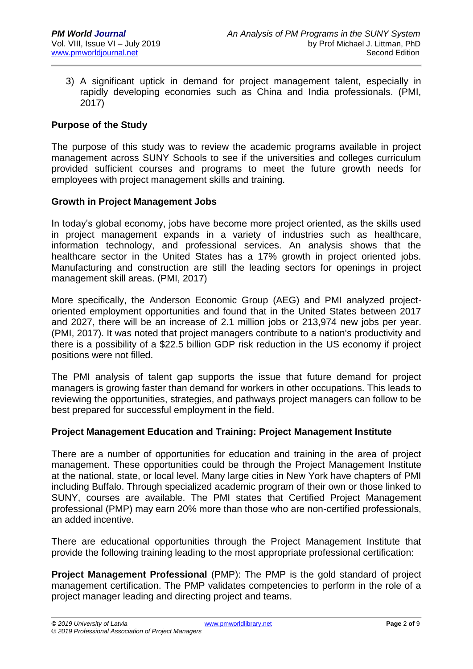3) A significant uptick in demand for project management talent, especially in rapidly developing economies such as China and India professionals. (PMI, 2017)

## **Purpose of the Study**

The purpose of this study was to review the academic programs available in project management across SUNY Schools to see if the universities and colleges curriculum provided sufficient courses and programs to meet the future growth needs for employees with project management skills and training.

#### **Growth in Project Management Jobs**

In today's global economy, jobs have become more project oriented, as the skills used in project management expands in a variety of industries such as healthcare, information technology, and professional services. An analysis shows that the healthcare sector in the United States has a 17% growth in project oriented jobs. Manufacturing and construction are still the leading sectors for openings in project management skill areas. (PMI, 2017)

More specifically, the Anderson Economic Group (AEG) and PMI analyzed projectoriented employment opportunities and found that in the United States between 2017 and 2027, there will be an increase of 2.1 million jobs or 213,974 new jobs per year. (PMI, 2017). It was noted that project managers contribute to a nation's productivity and there is a possibility of a \$22.5 billion GDP risk reduction in the US economy if project positions were not filled.

The PMI analysis of talent gap supports the issue that future demand for project managers is growing faster than demand for workers in other occupations. This leads to reviewing the opportunities, strategies, and pathways project managers can follow to be best prepared for successful employment in the field.

#### **Project Management Education and Training: Project Management Institute**

There are a number of opportunities for education and training in the area of project management. These opportunities could be through the Project Management Institute at the national, state, or local level. Many large cities in New York have chapters of PMI including Buffalo. Through specialized academic program of their own or those linked to SUNY, courses are available. The PMI states that Certified Project Management professional (PMP) may earn 20% more than those who are non-certified professionals, an added incentive.

There are educational opportunities through the Project Management Institute that provide the following training leading to the most appropriate professional certification:

**Project Management Professional** (PMP): The PMP is the gold standard of project management certification. The PMP validates competencies to perform in the role of a project manager leading and directing project and teams.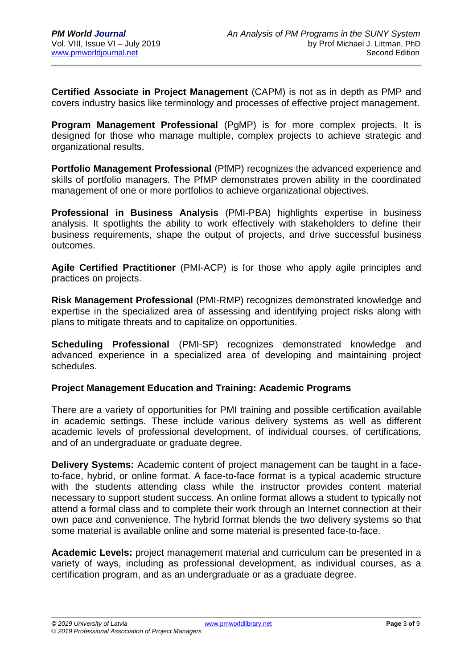**Certified Associate in Project Management** (CAPM) is not as in depth as PMP and covers industry basics like terminology and processes of effective project management.

**Program Management Professional** (PgMP) is for more complex projects. It is designed for those who manage multiple, complex projects to achieve strategic and organizational results.

**Portfolio Management Professional** (PfMP) recognizes the advanced experience and skills of portfolio managers. The PfMP demonstrates proven ability in the coordinated management of one or more portfolios to achieve organizational objectives.

**Professional in Business Analysis** (PMI-PBA) highlights expertise in business analysis. It spotlights the ability to work effectively with stakeholders to define their business requirements, shape the output of projects, and drive successful business outcomes.

**Agile Certified Practitioner** (PMI-ACP) is for those who apply agile principles and practices on projects.

**Risk Management Professional** (PMI-RMP) recognizes demonstrated knowledge and expertise in the specialized area of assessing and identifying project risks along with plans to mitigate threats and to capitalize on opportunities.

**Scheduling Professional** (PMI-SP) recognizes demonstrated knowledge and advanced experience in a specialized area of developing and maintaining project schedules.

## **Project Management Education and Training: Academic Programs**

There are a variety of opportunities for PMI training and possible certification available in academic settings. These include various delivery systems as well as different academic levels of professional development, of individual courses, of certifications, and of an undergraduate or graduate degree.

**Delivery Systems:** Academic content of project management can be taught in a faceto-face, hybrid, or online format. A face-to-face format is a typical academic structure with the students attending class while the instructor provides content material necessary to support student success. An online format allows a student to typically not attend a formal class and to complete their work through an Internet connection at their own pace and convenience. The hybrid format blends the two delivery systems so that some material is available online and some material is presented face-to-face.

**Academic Levels:** project management material and curriculum can be presented in a variety of ways, including as professional development, as individual courses, as a certification program, and as an undergraduate or as a graduate degree.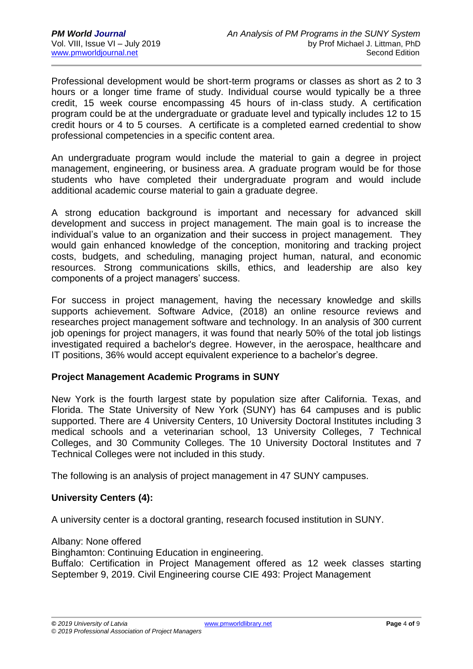Professional development would be short-term programs or classes as short as 2 to 3 hours or a longer time frame of study. Individual course would typically be a three credit, 15 week course encompassing 45 hours of in-class study. A certification program could be at the undergraduate or graduate level and typically includes 12 to 15 credit hours or 4 to 5 courses. A certificate is a completed earned credential to show professional competencies in a specific content area.

An undergraduate program would include the material to gain a degree in project management, engineering, or business area. A graduate program would be for those students who have completed their undergraduate program and would include additional academic course material to gain a graduate degree.

A strong education background is important and necessary for advanced skill development and success in project management. The main goal is to increase the individual's value to an organization and their success in project management. They would gain enhanced knowledge of the conception, monitoring and tracking project costs, budgets, and scheduling, managing project human, natural, and economic resources. Strong communications skills, ethics, and leadership are also key components of a project managers' success.

For success in project management, having the necessary knowledge and skills supports achievement. Software Advice, (2018) an online resource reviews and researches project management software and technology. In an analysis of 300 current job openings for project managers, it was found that nearly 50% of the total job listings investigated required a bachelor's degree. However, in the aerospace, healthcare and IT positions, 36% would accept equivalent experience to a bachelor's degree.

## **Project Management Academic Programs in SUNY**

New York is the fourth largest state by population size after California. Texas, and Florida. The State University of New York (SUNY) has 64 campuses and is public supported. There are 4 University Centers, 10 University Doctoral Institutes including 3 medical schools and a veterinarian school, 13 University Colleges, 7 Technical Colleges, and 30 Community Colleges. The 10 University Doctoral Institutes and 7 Technical Colleges were not included in this study.

The following is an analysis of project management in 47 SUNY campuses.

## **University Centers (4):**

A university center is a doctoral granting, research focused institution in SUNY.

Albany: None offered

Binghamton: Continuing Education in engineering.

Buffalo: Certification in Project Management offered as 12 week classes starting September 9, 2019. Civil Engineering course CIE 493: Project Management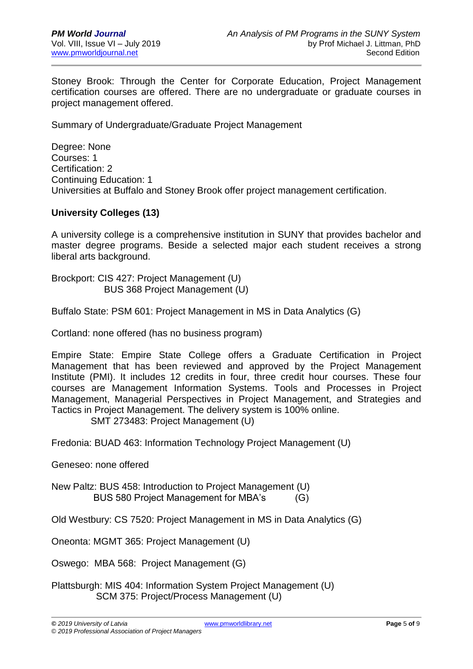Stoney Brook: Through the Center for Corporate Education, Project Management certification courses are offered. There are no undergraduate or graduate courses in project management offered.

Summary of Undergraduate/Graduate Project Management

Degree: None Courses: 1 Certification: 2 Continuing Education: 1 Universities at Buffalo and Stoney Brook offer project management certification.

## **University Colleges (13)**

A university college is a comprehensive institution in SUNY that provides bachelor and master degree programs. Beside a selected major each student receives a strong liberal arts background.

Brockport: CIS 427: Project Management (U) BUS 368 Project Management (U)

Buffalo State: PSM 601: Project Management in MS in Data Analytics (G)

Cortland: none offered (has no business program)

Empire State: Empire State College offers a Graduate Certification in Project Management that has been reviewed and approved by the Project Management Institute (PMI). It includes 12 credits in four, three credit hour courses. These four courses are Management Information Systems. Tools and Processes in Project Management, Managerial Perspectives in Project Management, and Strategies and Tactics in Project Management. The delivery system is 100% online.

SMT 273483: Project Management (U)

Fredonia: BUAD 463: Information Technology Project Management (U)

Geneseo: none offered

New Paltz: BUS 458: Introduction to Project Management (U) BUS 580 Project Management for MBA's (G)

Old Westbury: CS 7520: Project Management in MS in Data Analytics (G)

Oneonta: MGMT 365: Project Management (U)

Oswego: MBA 568: Project Management (G)

Plattsburgh: MIS 404: Information System Project Management (U) SCM 375: Project/Process Management (U)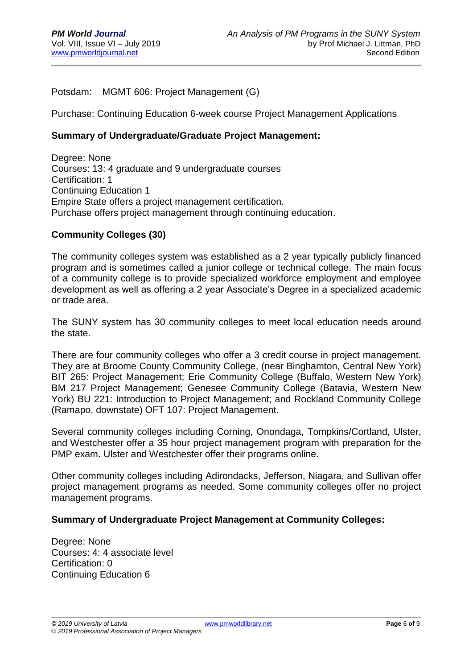Potsdam: MGMT 606: Project Management (G)

Purchase: Continuing Education 6-week course Project Management Applications

### **Summary of Undergraduate/Graduate Project Management:**

Degree: None Courses: 13: 4 graduate and 9 undergraduate courses Certification: 1 Continuing Education 1 Empire State offers a project management certification. Purchase offers project management through continuing education.

### **Community Colleges (30)**

The community colleges system was established as a 2 year typically publicly financed program and is sometimes called a junior college or technical college. The main focus of a community college is to provide specialized workforce employment and employee development as well as offering a 2 year Associate's Degree in a specialized academic or trade area.

The SUNY system has 30 community colleges to meet local education needs around the state.

There are four community colleges who offer a 3 credit course in project management. They are at Broome County Community College, (near Binghamton, Central New York) BIT 265: Project Management; Erie Community College (Buffalo, Western New York) BM 217 Project Management; Genesee Community College (Batavia, Western New York) BU 221: Introduction to Project Management; and Rockland Community College (Ramapo, downstate) OFT 107: Project Management.

Several community colleges including Corning, Onondaga, Tompkins/Cortland, Ulster, and Westchester offer a 35 hour project management program with preparation for the PMP exam. Ulster and Westchester offer their programs online.

Other community colleges including Adirondacks, Jefferson, Niagara, and Sullivan offer project management programs as needed. Some community colleges offer no project management programs.

#### **Summary of Undergraduate Project Management at Community Colleges:**

Degree: None Courses: 4: 4 associate level Certification: 0 Continuing Education 6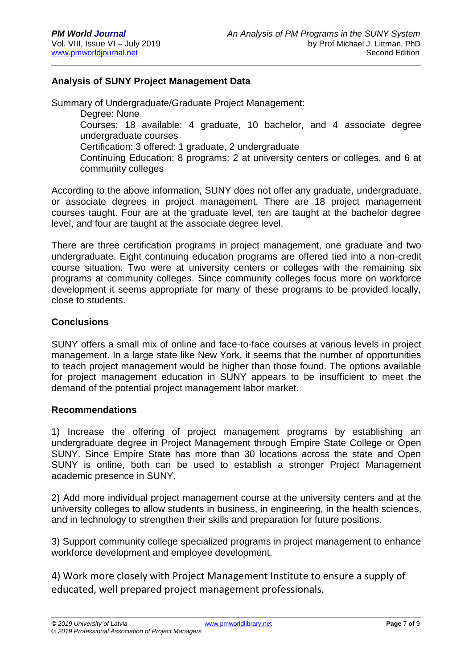## **Analysis of SUNY Project Management Data**

Summary of Undergraduate/Graduate Project Management: Degree: None Courses: 18 available: 4 graduate, 10 bachelor, and 4 associate degree undergraduate courses Certification: 3 offered: 1 graduate, 2 undergraduate Continuing Education: 8 programs: 2 at university centers or colleges, and 6 at

community colleges

According to the above information, SUNY does not offer any graduate, undergraduate, or associate degrees in project management. There are 18 project management courses taught. Four are at the graduate level, ten are taught at the bachelor degree level, and four are taught at the associate degree level.

There are three certification programs in project management, one graduate and two undergraduate. Eight continuing education programs are offered tied into a non-credit course situation. Two were at university centers or colleges with the remaining six programs at community colleges. Since community colleges focus more on workforce development it seems appropriate for many of these programs to be provided locally, close to students.

### **Conclusions**

SUNY offers a small mix of online and face-to-face courses at various levels in project management. In a large state like New York, it seems that the number of opportunities to teach project management would be higher than those found. The options available for project management education in SUNY appears to be insufficient to meet the demand of the potential project management labor market.

#### **Recommendations**

1) Increase the offering of project management programs by establishing an undergraduate degree in Project Management through Empire State College or Open SUNY. Since Empire State has more than 30 locations across the state and Open SUNY is online, both can be used to establish a stronger Project Management academic presence in SUNY.

2) Add more individual project management course at the university centers and at the university colleges to allow students in business, in engineering, in the health sciences, and in technology to strengthen their skills and preparation for future positions.

3) Support community college specialized programs in project management to enhance workforce development and employee development.

4) Work more closely with Project Management Institute to ensure a supply of educated, well prepared project management professionals.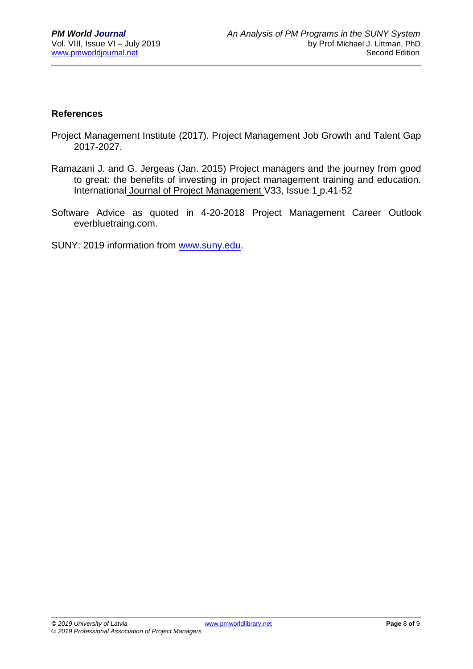## **References**

- Project Management Institute (2017). Project Management Job Growth and Talent Gap 2017-2027.
- Ramazani J. and G. Jergeas (Jan. 2015) Project managers and the journey from good to great: the benefits of investing in project management training and education. International Journal of Project Management V33, Issue 1 p.41-52
- Software Advice as quoted in 4-20-2018 Project Management Career Outlook everbluetraing.com.

SUNY: 2019 information from [www.suny.edu.](http://www.suny.edu/)